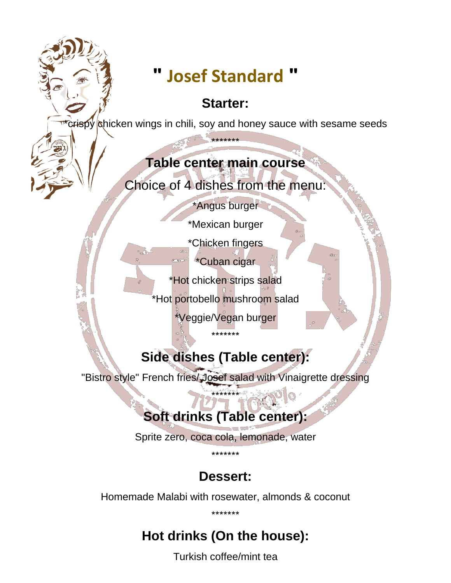# **" Josef Standard "**

#### **Starter:**

crispy chicken wings in chili, soy and honey sauce with sesame seeds

\*\*\*\*\*\*\*

#### **Table center main course**

Choice of 4 dishes from the menu:

\*Angus burger

\*Mexican burger

\*Chicken fingers

\*Cuban cigar

\*Hot chicken strips salad

\*Hot portobello mushroom salad

\*Veggie/Vegan burger

## **Side dishes (Table center):**

\*\*\*\*\*\*\*

"Bistro style" French fries/Josef salad with Vinaigrette dressing

\*\*\*\*\*\*\*

## **Soft drinks (Table center):**

Sprite zero, coca cola, lemonade, water

\*\*\*\*\*\*\*

### **Dessert:**

Homemade Malabi with rosewater, almonds & coconut

\*\*\*\*\*\*\*

## **Hot drinks (On the house):**

Turkish coffee/mint tea